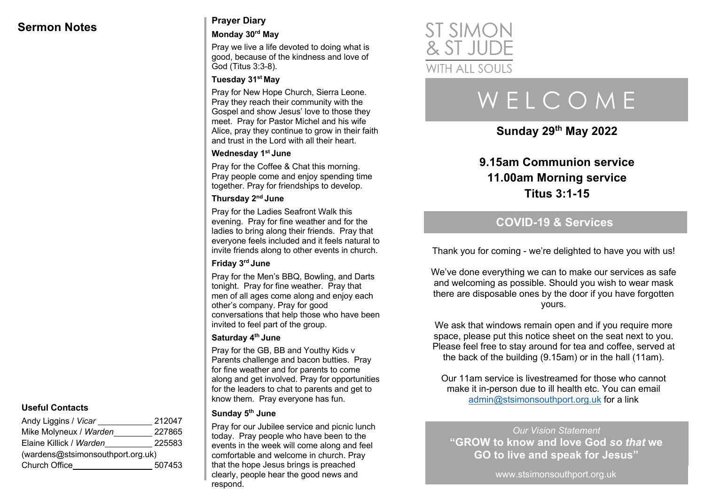## **Sermon Notes Prayer Diary**

#### **Monday 30rd May**

Pray we live a life devoted to doing what is good, because of the kindness and love of God (Titus 3:3-8).

#### **Tuesday 31st May**

Pray for New Hope Church, Sierra Leone. Pray they reach their community with the Gospel and show Jesus' love to those they meet. Pray for Pastor Michel and his wife Alice, pray they continue to grow in their faith and trust in the Lord with all their heart.

#### **Wednesday 1st June**

Pray for the Coffee & Chat this morning. Pray people come and enjoy spending time together. Pray for friendships to develop.

#### **Thursday 2nd June**

Pray for the Ladies Seafront Walk this evening. Pray for fine weather and for the ladies to bring along their friends. Pray that everyone feels included and it feels natural to invite friends along to other events in church.

#### **Friday 3rd June**

Pray for the Men's BBQ, Bowling, and Darts tonight. Pray for fine weather. Pray that men of all ages come along and enjoy each other's company. Pray for good conversations that help those who have been invited to feel part of the group.

#### **Saturday 4th June**

Pray for the GB, BB and Youthy Kids v Parents challenge and bacon butties. Pray for fine weather and for parents to come along and get involved. Pray for opportunities for the leaders to chat to parents and get to know them. Pray everyone has fun.

#### **Sunday 5th June**

Pray for our Jubilee service and picnic lunch today. Pray people who have been to the events in the week will come along and feel comfortable and welcome in church. Pray that the hope Jesus brings is preached clearly, people hear the good news and respond.



# W E L C O M E

**Sunday 29th May 2022**

## **9.15am Communion service 11.00am Morning service Titus 3:1-15**

## **COVID-19 & Services**

Thank you for coming - we're delighted to have you with us!

We've done everything we can to make our services as safe and welcoming as possible. Should you wish to wear mask there are disposable ones by the door if you have forgotten yours.

We ask that windows remain open and if you require more space, please put this notice sheet on the seat next to you. Please feel free to stay around for tea and coffee, served at the back of the building (9.15am) or in the hall (11am).

Our 11am service is livestreamed for those who cannot make it in-person due to ill health etc. You can email admin@stsimonsouthport.org.uk for a link

*Our Vision Statement* **"GROW to know and love God** *so that* **we GO to live and speak for Jesus"**

www.stsimonsouthport.org.uk

#### **Useful Contacts**

| Andy Liggins / Vicar              | 212047 |  |
|-----------------------------------|--------|--|
| Mike Molyneux / Warden            | 227865 |  |
| Elaine Killick / Warden           | 225583 |  |
| (wardens@stsimonsouthport.org.uk) |        |  |
| Church Office                     | 507453 |  |
|                                   |        |  |